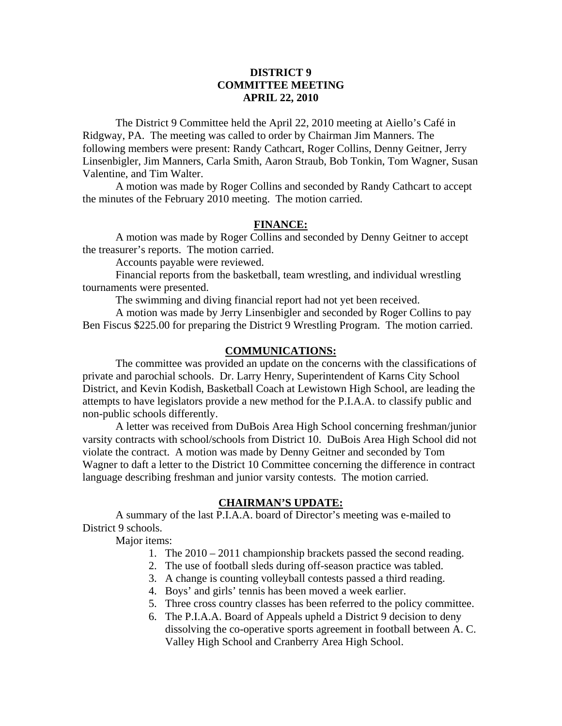# **DISTRICT 9 COMMITTEE MEETING APRIL 22, 2010**

 The District 9 Committee held the April 22, 2010 meeting at Aiello's Café in Ridgway, PA. The meeting was called to order by Chairman Jim Manners. The following members were present: Randy Cathcart, Roger Collins, Denny Geitner, Jerry Linsenbigler, Jim Manners, Carla Smith, Aaron Straub, Bob Tonkin, Tom Wagner, Susan Valentine, and Tim Walter.

 A motion was made by Roger Collins and seconded by Randy Cathcart to accept the minutes of the February 2010 meeting. The motion carried.

### **FINANCE:**

A motion was made by Roger Collins and seconded by Denny Geitner to accept the treasurer's reports. The motion carried.

Accounts payable were reviewed.

 Financial reports from the basketball, team wrestling, and individual wrestling tournaments were presented.

The swimming and diving financial report had not yet been received.

 A motion was made by Jerry Linsenbigler and seconded by Roger Collins to pay Ben Fiscus \$225.00 for preparing the District 9 Wrestling Program. The motion carried.

#### **COMMUNICATIONS:**

 The committee was provided an update on the concerns with the classifications of private and parochial schools. Dr. Larry Henry, Superintendent of Karns City School District, and Kevin Kodish, Basketball Coach at Lewistown High School, are leading the attempts to have legislators provide a new method for the P.I.A.A. to classify public and non-public schools differently.

 A letter was received from DuBois Area High School concerning freshman/junior varsity contracts with school/schools from District 10. DuBois Area High School did not violate the contract. A motion was made by Denny Geitner and seconded by Tom Wagner to daft a letter to the District 10 Committee concerning the difference in contract language describing freshman and junior varsity contests. The motion carried.

#### **CHAIRMAN'S UPDATE:**

 A summary of the last P.I.A.A. board of Director's meeting was e-mailed to District 9 schools.

Major items:

- 1. The 2010 2011 championship brackets passed the second reading.
- 2. The use of football sleds during off-season practice was tabled.
- 3. A change is counting volleyball contests passed a third reading.
- 4. Boys' and girls' tennis has been moved a week earlier.
- 5. Three cross country classes has been referred to the policy committee.
- 6. The P.I.A.A. Board of Appeals upheld a District 9 decision to deny dissolving the co-operative sports agreement in football between A. C. Valley High School and Cranberry Area High School.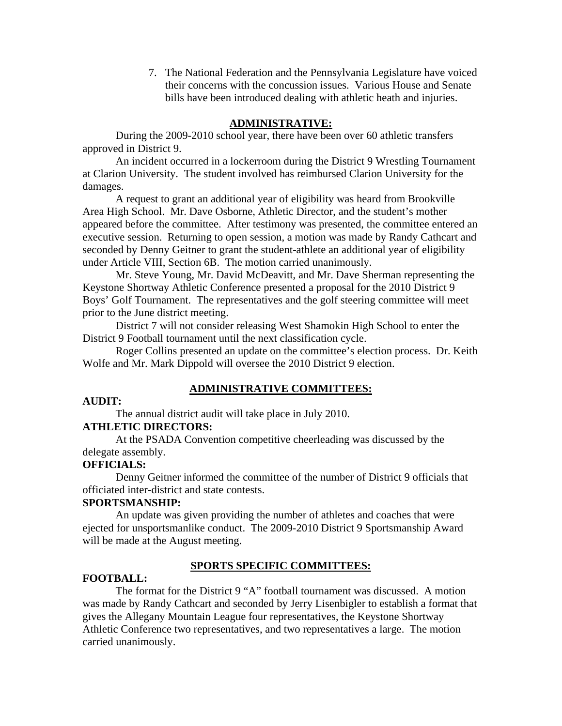7. The National Federation and the Pennsylvania Legislature have voiced their concerns with the concussion issues. Various House and Senate bills have been introduced dealing with athletic heath and injuries.

### **ADMINISTRATIVE:**

 During the 2009-2010 school year, there have been over 60 athletic transfers approved in District 9.

 An incident occurred in a lockerroom during the District 9 Wrestling Tournament at Clarion University. The student involved has reimbursed Clarion University for the damages.

 A request to grant an additional year of eligibility was heard from Brookville Area High School. Mr. Dave Osborne, Athletic Director, and the student's mother appeared before the committee. After testimony was presented, the committee entered an executive session. Returning to open session, a motion was made by Randy Cathcart and seconded by Denny Geitner to grant the student-athlete an additional year of eligibility under Article VIII, Section 6B. The motion carried unanimously.

 Mr. Steve Young, Mr. David McDeavitt, and Mr. Dave Sherman representing the Keystone Shortway Athletic Conference presented a proposal for the 2010 District 9 Boys' Golf Tournament. The representatives and the golf steering committee will meet prior to the June district meeting.

 District 7 will not consider releasing West Shamokin High School to enter the District 9 Football tournament until the next classification cycle.

 Roger Collins presented an update on the committee's election process. Dr. Keith Wolfe and Mr. Mark Dippold will oversee the 2010 District 9 election.

### **ADMINISTRATIVE COMMITTEES:**

# **AUDIT:**

The annual district audit will take place in July 2010.

### **ATHLETIC DIRECTORS:**

 At the PSADA Convention competitive cheerleading was discussed by the delegate assembly.

# **OFFICIALS:**

 Denny Geitner informed the committee of the number of District 9 officials that officiated inter-district and state contests.

### **SPORTSMANSHIP:**

 An update was given providing the number of athletes and coaches that were ejected for unsportsmanlike conduct. The 2009-2010 District 9 Sportsmanship Award will be made at the August meeting.

#### **SPORTS SPECIFIC COMMITTEES:**

#### **FOOTBALL:**

 The format for the District 9 "A" football tournament was discussed. A motion was made by Randy Cathcart and seconded by Jerry Lisenbigler to establish a format that gives the Allegany Mountain League four representatives, the Keystone Shortway Athletic Conference two representatives, and two representatives a large. The motion carried unanimously.